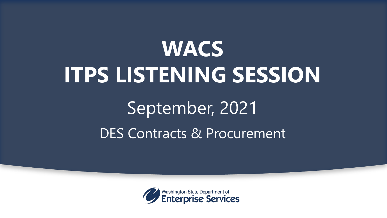# **WACS ITPS LISTENING SESSION**

### DES Contracts & Procurement September, 2021

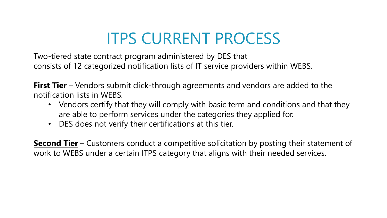### ITPS CURRENT PROCESS

 Two-tiered state contract program administered by DES that consists of 12 categorized notification lists of IT service providers within WEBS.

 notification lists in WEBS. **First Tier** – Vendors submit click-through agreements and vendors are added to the

- • Vendors certify that they will comply with basic term and conditions and that they are able to perform services under the categories they applied for.
- DES does not verify their certifications at this tier.

 **Second Tier** – Customers conduct a competitive solicitation by posting their statement of work to WEBS under a certain ITPS category that aligns with their needed services.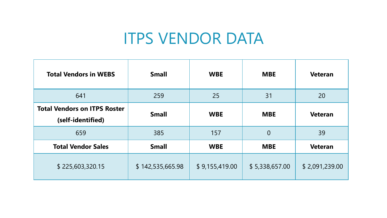#### ITPS VENDOR DATA

| <b>Total Vendors in WEBS</b>                             | <b>Small</b>     | <b>WBE</b>     | <b>MBE</b>     | <b>Veteran</b> |
|----------------------------------------------------------|------------------|----------------|----------------|----------------|
| 641                                                      | 259              | 25             | 31             | 20             |
| <b>Total Vendors on ITPS Roster</b><br>(self-identified) | <b>Small</b>     | <b>WBE</b>     | <b>MBE</b>     | <b>Veteran</b> |
| 659                                                      | 385              | 157            | $\overline{0}$ | 39             |
| <b>Total Vendor Sales</b>                                | <b>Small</b>     | <b>WBE</b>     | <b>MBE</b>     | <b>Veteran</b> |
| \$225,603,320.15                                         | \$142,535,665.98 | \$9,155,419.00 | \$5,338,657.00 | \$2,091,239.00 |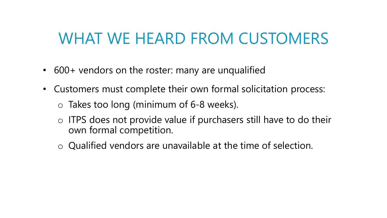#### WHAT WE HEARD FROM CUSTOMERS

- 600+ vendors on the roster: many are unqualified
- Customers must complete their own formal solicitation process:
	- o Takes too long (minimum of 6-8 weeks).
	- o ITPS does not provide value if purchasers still have to do their own formal competition.
	- $\circ$  Qualified vendors are unavailable at the time of selection.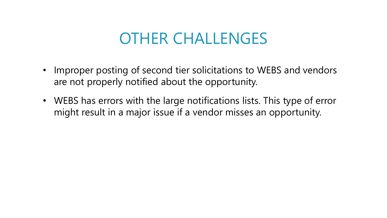#### OTHER CHALLENGES

- are not properly notified about the opportunity. • Improper posting of second tier solicitations to WEBS and vendors
- • WEBS has errors with the large notifications lists. This type of error might result in a major issue if a vendor misses an opportunity.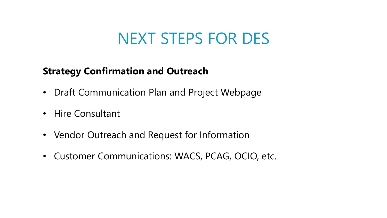#### NEXT STEPS FOR DES

#### **Strategy Confirmation and Outreach**

- Draft Communication Plan and Project Webpage
- Hire Consultant
- Vendor Outreach and Request for Information
- Customer Communications: WACS, PCAG, OCIO, etc.